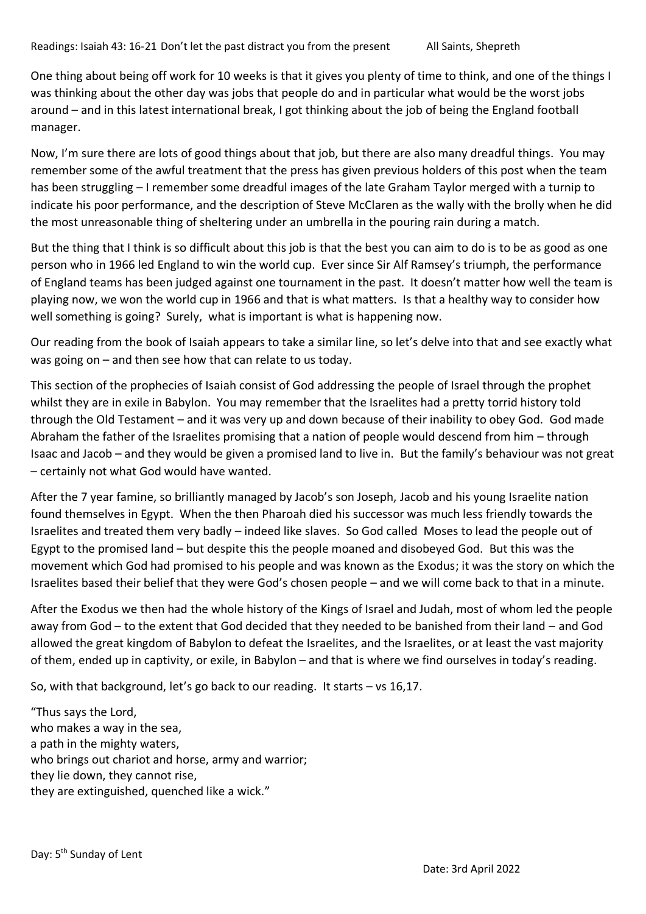One thing about being off work for 10 weeks is that it gives you plenty of time to think, and one of the things I was thinking about the other day was jobs that people do and in particular what would be the worst jobs around – and in this latest international break, I got thinking about the job of being the England football manager.

Now, I'm sure there are lots of good things about that job, but there are also many dreadful things. You may remember some of the awful treatment that the press has given previous holders of this post when the team has been struggling – I remember some dreadful images of the late Graham Taylor merged with a turnip to indicate his poor performance, and the description of Steve McClaren as the wally with the brolly when he did the most unreasonable thing of sheltering under an umbrella in the pouring rain during a match.

But the thing that I think is so difficult about this job is that the best you can aim to do is to be as good as one person who in 1966 led England to win the world cup. Ever since Sir Alf Ramsey's triumph, the performance of England teams has been judged against one tournament in the past. It doesn't matter how well the team is playing now, we won the world cup in 1966 and that is what matters. Is that a healthy way to consider how well something is going? Surely, what is important is what is happening now.

Our reading from the book of Isaiah appears to take a similar line, so let's delve into that and see exactly what was going on – and then see how that can relate to us today.

This section of the prophecies of Isaiah consist of God addressing the people of Israel through the prophet whilst they are in exile in Babylon. You may remember that the Israelites had a pretty torrid history told through the Old Testament – and it was very up and down because of their inability to obey God. God made Abraham the father of the Israelites promising that a nation of people would descend from him – through Isaac and Jacob – and they would be given a promised land to live in. But the family's behaviour was not great – certainly not what God would have wanted.

After the 7 year famine, so brilliantly managed by Jacob's son Joseph, Jacob and his young Israelite nation found themselves in Egypt. When the then Pharoah died his successor was much less friendly towards the Israelites and treated them very badly – indeed like slaves. So God called Moses to lead the people out of Egypt to the promised land – but despite this the people moaned and disobeyed God. But this was the movement which God had promised to his people and was known as the Exodus; it was the story on which the Israelites based their belief that they were God's chosen people – and we will come back to that in a minute.

After the Exodus we then had the whole history of the Kings of Israel and Judah, most of whom led the people away from God – to the extent that God decided that they needed to be banished from their land – and God allowed the great kingdom of Babylon to defeat the Israelites, and the Israelites, or at least the vast majority of them, ended up in captivity, or exile, in Babylon – and that is where we find ourselves in today's reading.

So, with that background, let's go back to our reading. It starts – vs 16,17.

"Thus says the Lord, who makes a way in the sea, a path in the mighty waters, who brings out chariot and horse, army and warrior; they lie down, they cannot rise, they are extinguished, quenched like a wick."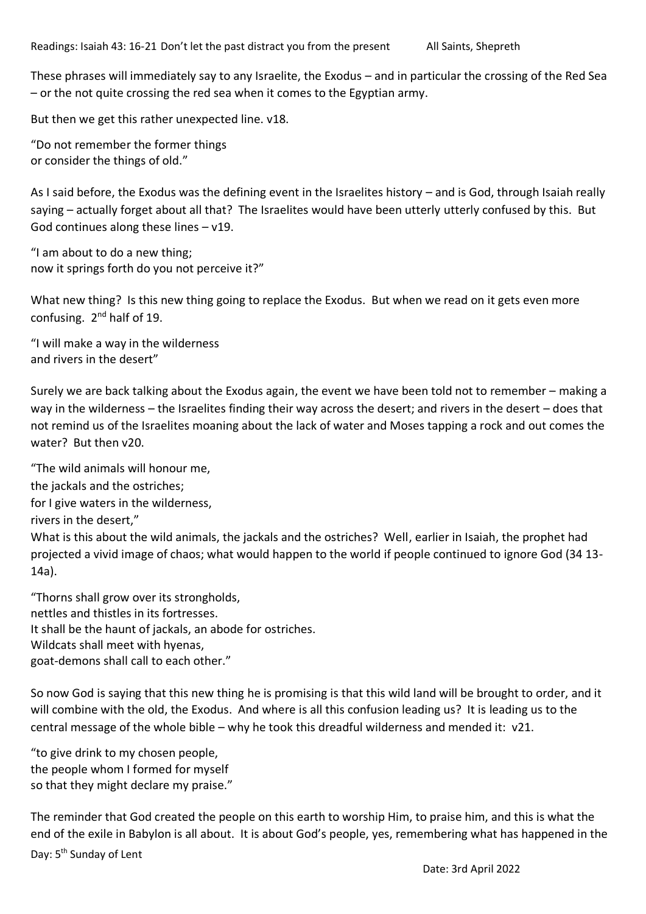– or the not quite crossing the red sea when it comes to the Egyptian army.

These phrases will immediately say to any Israelite, the Exodus – and in particular the crossing of the Red Sea

But then we get this rather unexpected line. v18.

"Do not remember the former things or consider the things of old."

As I said before, the Exodus was the defining event in the Israelites history – and is God, through Isaiah really saying – actually forget about all that? The Israelites would have been utterly utterly confused by this. But God continues along these lines  $- v19$ .

"I am about to do a new thing; now it springs forth do you not perceive it?"

What new thing? Is this new thing going to replace the Exodus. But when we read on it gets even more confusing. 2<sup>nd</sup> half of 19.

"I will make a way in the wilderness and rivers in the desert"

Surely we are back talking about the Exodus again, the event we have been told not to remember – making a way in the wilderness – the Israelites finding their way across the desert; and rivers in the desert – does that not remind us of the Israelites moaning about the lack of water and Moses tapping a rock and out comes the water? But then v20.

"The wild animals will honour me,

the jackals and the ostriches;

for I give waters in the wilderness,

rivers in the desert,"

What is this about the wild animals, the jackals and the ostriches? Well, earlier in Isaiah, the prophet had projected a vivid image of chaos; what would happen to the world if people continued to ignore God (34 13- 14a).

"Thorns shall grow over its strongholds, nettles and thistles in its fortresses. It shall be the haunt of jackals, an abode for ostriches. Wildcats shall meet with hyenas, goat-demons shall call to each other."

So now God is saying that this new thing he is promising is that this wild land will be brought to order, and it will combine with the old, the Exodus. And where is all this confusion leading us? It is leading us to the central message of the whole bible – why he took this dreadful wilderness and mended it: v21.

"to give drink to my chosen people, the people whom I formed for myself so that they might declare my praise."

Day: 5<sup>th</sup> Sunday of Lent The reminder that God created the people on this earth to worship Him, to praise him, and this is what the end of the exile in Babylon is all about. It is about God's people, yes, remembering what has happened in the